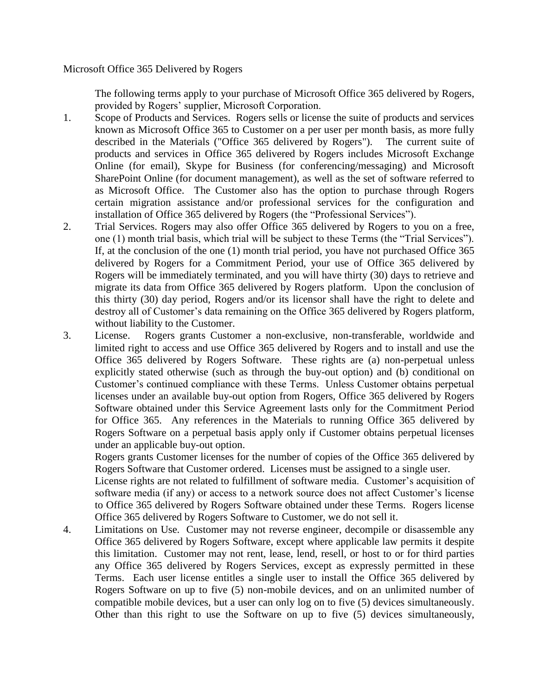Microsoft Office 365 Delivered by Rogers

The following terms apply to your purchase of Microsoft Office 365 delivered by Rogers, provided by Rogers' supplier, Microsoft Corporation.

- 1. Scope of Products and Services. Rogers sells or license the suite of products and services known as Microsoft Office 365 to Customer on a per user per month basis, as more fully described in the Materials ("Office 365 delivered by Rogers"). The current suite of products and services in Office 365 delivered by Rogers includes Microsoft Exchange Online (for email), Skype for Business (for conferencing/messaging) and Microsoft SharePoint Online (for document management), as well as the set of software referred to as Microsoft Office. The Customer also has the option to purchase through Rogers certain migration assistance and/or professional services for the configuration and installation of Office 365 delivered by Rogers (the "Professional Services").
- 2. Trial Services. Rogers may also offer Office 365 delivered by Rogers to you on a free, one (1) month trial basis, which trial will be subject to these Terms (the "Trial Services"). If, at the conclusion of the one (1) month trial period, you have not purchased Office 365 delivered by Rogers for a Commitment Period, your use of Office 365 delivered by Rogers will be immediately terminated, and you will have thirty (30) days to retrieve and migrate its data from Office 365 delivered by Rogers platform. Upon the conclusion of this thirty (30) day period, Rogers and/or its licensor shall have the right to delete and destroy all of Customer's data remaining on the Office 365 delivered by Rogers platform, without liability to the Customer.
- 3. License. Rogers grants Customer a non-exclusive, non-transferable, worldwide and limited right to access and use Office 365 delivered by Rogers and to install and use the Office 365 delivered by Rogers Software. These rights are (a) non-perpetual unless explicitly stated otherwise (such as through the buy-out option) and (b) conditional on Customer's continued compliance with these Terms. Unless Customer obtains perpetual licenses under an available buy-out option from Rogers, Office 365 delivered by Rogers Software obtained under this Service Agreement lasts only for the Commitment Period for Office 365. Any references in the Materials to running Office 365 delivered by Rogers Software on a perpetual basis apply only if Customer obtains perpetual licenses under an applicable buy-out option.

Rogers grants Customer licenses for the number of copies of the Office 365 delivered by Rogers Software that Customer ordered. Licenses must be assigned to a single user.

License rights are not related to fulfillment of software media. Customer's acquisition of software media (if any) or access to a network source does not affect Customer's license to Office 365 delivered by Rogers Software obtained under these Terms. Rogers license Office 365 delivered by Rogers Software to Customer, we do not sell it.

4. Limitations on Use. Customer may not reverse engineer, decompile or disassemble any Office 365 delivered by Rogers Software, except where applicable law permits it despite this limitation. Customer may not rent, lease, lend, resell, or host to or for third parties any Office 365 delivered by Rogers Services, except as expressly permitted in these Terms. Each user license entitles a single user to install the Office 365 delivered by Rogers Software on up to five (5) non-mobile devices, and on an unlimited number of compatible mobile devices, but a user can only log on to five (5) devices simultaneously. Other than this right to use the Software on up to five (5) devices simultaneously,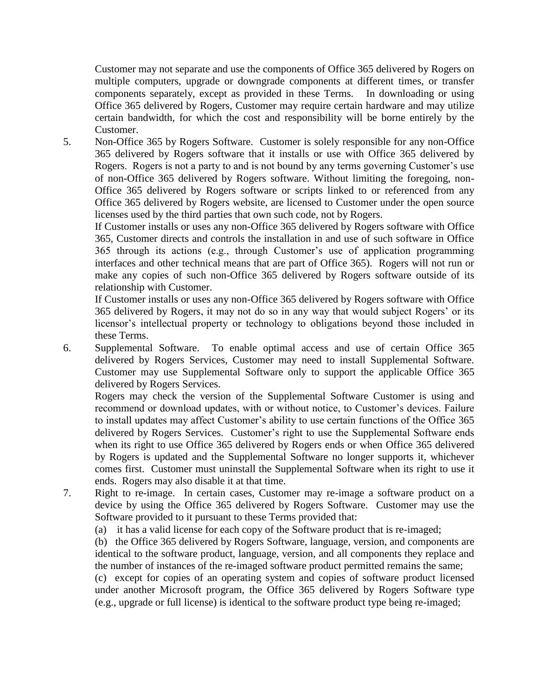Customer may not separate and use the components of Office 365 delivered by Rogers on multiple computers, upgrade or downgrade components at different times, or transfer components separately, except as provided in these Terms. In downloading or using Office 365 delivered by Rogers, Customer may require certain hardware and may utilize certain bandwidth, for which the cost and responsibility will be borne entirely by the Customer.

5. Non-Office 365 by Rogers Software. Customer is solely responsible for any non-Office 365 delivered by Rogers software that it installs or use with Office 365 delivered by Rogers. Rogers is not a party to and is not bound by any terms governing Customer's use of non-Office 365 delivered by Rogers software. Without limiting the foregoing, non-Office 365 delivered by Rogers software or scripts linked to or referenced from any Office 365 delivered by Rogers website, are licensed to Customer under the open source licenses used by the third parties that own such code, not by Rogers.

If Customer installs or uses any non-Office 365 delivered by Rogers software with Office 365, Customer directs and controls the installation in and use of such software in Office 365 through its actions (e.g., through Customer's use of application programming interfaces and other technical means that are part of Office 365). Rogers will not run or make any copies of such non-Office 365 delivered by Rogers software outside of its relationship with Customer.

If Customer installs or uses any non-Office 365 delivered by Rogers software with Office 365 delivered by Rogers, it may not do so in any way that would subject Rogers' or its licensor's intellectual property or technology to obligations beyond those included in these Terms.

6. Supplemental Software. To enable optimal access and use of certain Office 365 delivered by Rogers Services, Customer may need to install Supplemental Software. Customer may use Supplemental Software only to support the applicable Office 365 delivered by Rogers Services.

Rogers may check the version of the Supplemental Software Customer is using and recommend or download updates, with or without notice, to Customer's devices. Failure to install updates may affect Customer's ability to use certain functions of the Office 365 delivered by Rogers Services. Customer's right to use the Supplemental Software ends when its right to use Office 365 delivered by Rogers ends or when Office 365 delivered by Rogers is updated and the Supplemental Software no longer supports it, whichever comes first. Customer must uninstall the Supplemental Software when its right to use it ends. Rogers may also disable it at that time.

- 7. Right to re-image. In certain cases, Customer may re-image a software product on a device by using the Office 365 delivered by Rogers Software. Customer may use the Software provided to it pursuant to these Terms provided that:
	- (a) it has a valid license for each copy of the Software product that is re-imaged;

(b) the Office 365 delivered by Rogers Software, language, version, and components are identical to the software product, language, version, and all components they replace and the number of instances of the re-imaged software product permitted remains the same;

(c) except for copies of an operating system and copies of software product licensed under another Microsoft program, the Office 365 delivered by Rogers Software type (e.g., upgrade or full license) is identical to the software product type being re-imaged;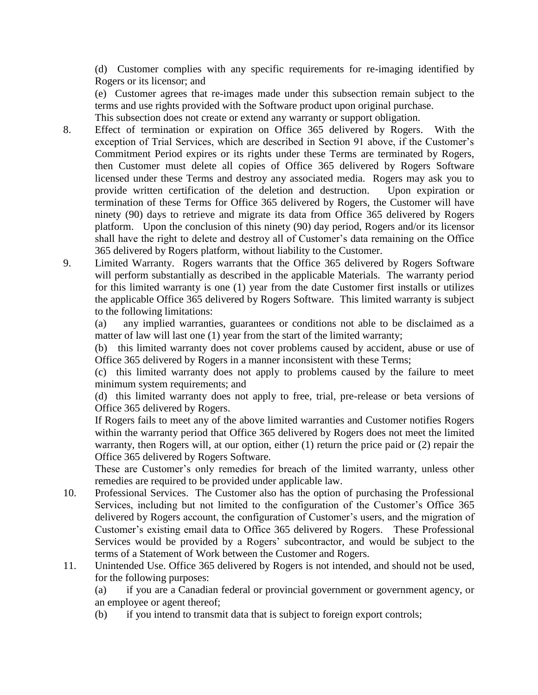(d) Customer complies with any specific requirements for re-imaging identified by Rogers or its licensor; and

(e) Customer agrees that re-images made under this subsection remain subject to the terms and use rights provided with the Software product upon original purchase.

This subsection does not create or extend any warranty or support obligation.

- 8. Effect of termination or expiration on Office 365 delivered by Rogers. With the exception of Trial Services, which are described in Section 91 above, if the Customer's Commitment Period expires or its rights under these Terms are terminated by Rogers, then Customer must delete all copies of Office 365 delivered by Rogers Software licensed under these Terms and destroy any associated media. Rogers may ask you to provide written certification of the deletion and destruction. Upon expiration or termination of these Terms for Office 365 delivered by Rogers, the Customer will have ninety (90) days to retrieve and migrate its data from Office 365 delivered by Rogers platform. Upon the conclusion of this ninety (90) day period, Rogers and/or its licensor shall have the right to delete and destroy all of Customer's data remaining on the Office 365 delivered by Rogers platform, without liability to the Customer.
- 9. Limited Warranty. Rogers warrants that the Office 365 delivered by Rogers Software will perform substantially as described in the applicable Materials. The warranty period for this limited warranty is one (1) year from the date Customer first installs or utilizes the applicable Office 365 delivered by Rogers Software. This limited warranty is subject to the following limitations:

(a) any implied warranties, guarantees or conditions not able to be disclaimed as a matter of law will last one (1) year from the start of the limited warranty;

(b) this limited warranty does not cover problems caused by accident, abuse or use of Office 365 delivered by Rogers in a manner inconsistent with these Terms;

(c) this limited warranty does not apply to problems caused by the failure to meet minimum system requirements; and

(d) this limited warranty does not apply to free, trial, pre-release or beta versions of Office 365 delivered by Rogers.

If Rogers fails to meet any of the above limited warranties and Customer notifies Rogers within the warranty period that Office 365 delivered by Rogers does not meet the limited warranty, then Rogers will, at our option, either (1) return the price paid or (2) repair the Office 365 delivered by Rogers Software.

These are Customer's only remedies for breach of the limited warranty, unless other remedies are required to be provided under applicable law.

- 10. Professional Services. The Customer also has the option of purchasing the Professional Services, including but not limited to the configuration of the Customer's Office 365 delivered by Rogers account, the configuration of Customer's users, and the migration of Customer's existing email data to Office 365 delivered by Rogers. These Professional Services would be provided by a Rogers' subcontractor, and would be subject to the terms of a Statement of Work between the Customer and Rogers.
- 11. Unintended Use. Office 365 delivered by Rogers is not intended, and should not be used, for the following purposes:

(a) if you are a Canadian federal or provincial government or government agency, or an employee or agent thereof;

(b) if you intend to transmit data that is subject to foreign export controls;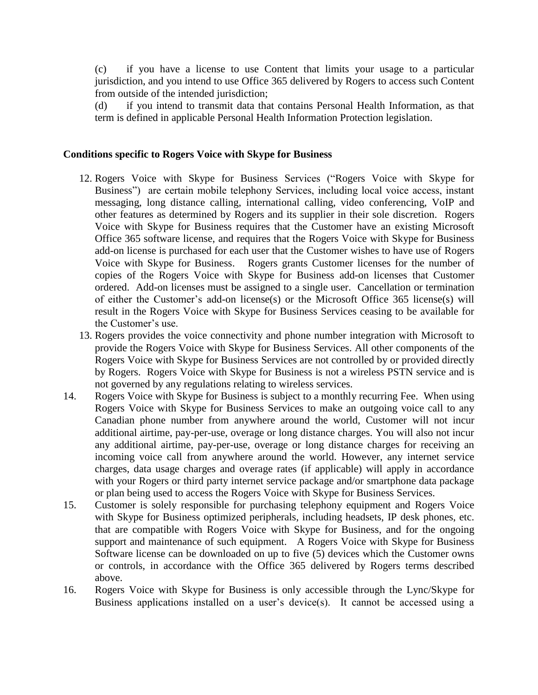(c) if you have a license to use Content that limits your usage to a particular jurisdiction, and you intend to use Office 365 delivered by Rogers to access such Content from outside of the intended jurisdiction;

(d) if you intend to transmit data that contains Personal Health Information, as that term is defined in applicable Personal Health Information Protection legislation.

## **Conditions specific to Rogers Voice with Skype for Business**

- 12. Rogers Voice with Skype for Business Services ("Rogers Voice with Skype for Business") are certain mobile telephony Services, including local voice access, instant messaging, long distance calling, international calling, video conferencing, VoIP and other features as determined by Rogers and its supplier in their sole discretion. Rogers Voice with Skype for Business requires that the Customer have an existing Microsoft Office 365 software license, and requires that the Rogers Voice with Skype for Business add-on license is purchased for each user that the Customer wishes to have use of Rogers Voice with Skype for Business. Rogers grants Customer licenses for the number of copies of the Rogers Voice with Skype for Business add-on licenses that Customer ordered. Add-on licenses must be assigned to a single user. Cancellation or termination of either the Customer's add-on license(s) or the Microsoft Office 365 license(s) will result in the Rogers Voice with Skype for Business Services ceasing to be available for the Customer's use.
- 13. Rogers provides the voice connectivity and phone number integration with Microsoft to provide the Rogers Voice with Skype for Business Services. All other components of the Rogers Voice with Skype for Business Services are not controlled by or provided directly by Rogers. Rogers Voice with Skype for Business is not a wireless PSTN service and is not governed by any regulations relating to wireless services.
- 14. Rogers Voice with Skype for Business is subject to a monthly recurring Fee. When using Rogers Voice with Skype for Business Services to make an outgoing voice call to any Canadian phone number from anywhere around the world, Customer will not incur additional airtime, pay-per-use, overage or long distance charges. You will also not incur any additional airtime, pay-per-use, overage or long distance charges for receiving an incoming voice call from anywhere around the world. However, any internet service charges, data usage charges and overage rates (if applicable) will apply in accordance with your Rogers or third party internet service package and/or smartphone data package or plan being used to access the Rogers Voice with Skype for Business Services.
- 15. Customer is solely responsible for purchasing telephony equipment and Rogers Voice with Skype for Business optimized peripherals, including headsets, IP desk phones, etc. that are compatible with Rogers Voice with Skype for Business, and for the ongoing support and maintenance of such equipment. A Rogers Voice with Skype for Business Software license can be downloaded on up to five (5) devices which the Customer owns or controls, in accordance with the Office 365 delivered by Rogers terms described above.
- 16. Rogers Voice with Skype for Business is only accessible through the Lync/Skype for Business applications installed on a user's device(s). It cannot be accessed using a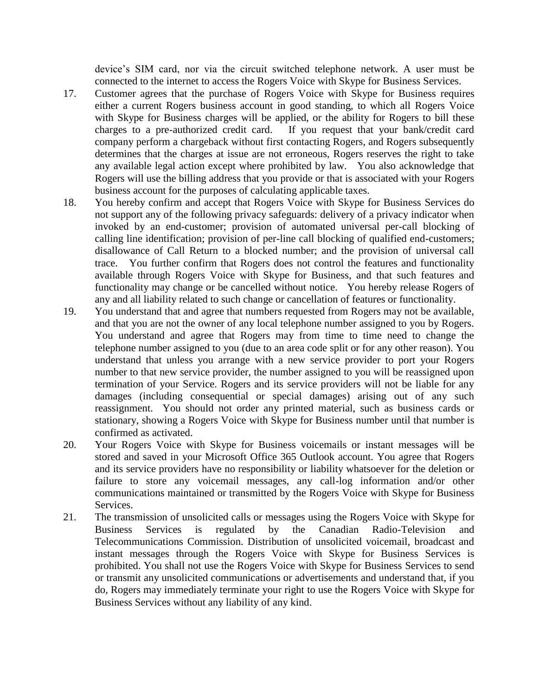device's SIM card, nor via the circuit switched telephone network. A user must be connected to the internet to access the Rogers Voice with Skype for Business Services.

- 17. Customer agrees that the purchase of Rogers Voice with Skype for Business requires either a current Rogers business account in good standing, to which all Rogers Voice with Skype for Business charges will be applied, or the ability for Rogers to bill these charges to a pre-authorized credit card. If you request that your bank/credit card If you request that your bank/credit card. company perform a chargeback without first contacting Rogers, and Rogers subsequently determines that the charges at issue are not erroneous, Rogers reserves the right to take any available legal action except where prohibited by law. You also acknowledge that Rogers will use the billing address that you provide or that is associated with your Rogers business account for the purposes of calculating applicable taxes.
- 18. You hereby confirm and accept that Rogers Voice with Skype for Business Services do not support any of the following privacy safeguards: delivery of a privacy indicator when invoked by an end-customer; provision of automated universal per-call blocking of calling line identification; provision of per-line call blocking of qualified end-customers; disallowance of Call Return to a blocked number; and the provision of universal call trace. You further confirm that Rogers does not control the features and functionality available through Rogers Voice with Skype for Business, and that such features and functionality may change or be cancelled without notice. You hereby release Rogers of any and all liability related to such change or cancellation of features or functionality.
- 19. You understand that and agree that numbers requested from Rogers may not be available, and that you are not the owner of any local telephone number assigned to you by Rogers. You understand and agree that Rogers may from time to time need to change the telephone number assigned to you (due to an area code split or for any other reason). You understand that unless you arrange with a new service provider to port your Rogers number to that new service provider, the number assigned to you will be reassigned upon termination of your Service. Rogers and its service providers will not be liable for any damages (including consequential or special damages) arising out of any such reassignment. You should not order any printed material, such as business cards or stationary, showing a Rogers Voice with Skype for Business number until that number is confirmed as activated.
- 20. Your Rogers Voice with Skype for Business voicemails or instant messages will be stored and saved in your Microsoft Office 365 Outlook account. You agree that Rogers and its service providers have no responsibility or liability whatsoever for the deletion or failure to store any voicemail messages, any call-log information and/or other communications maintained or transmitted by the Rogers Voice with Skype for Business Services.
- 21. The transmission of unsolicited calls or messages using the Rogers Voice with Skype for Business Services is regulated by the Canadian Radio-Television and Telecommunications Commission. Distribution of unsolicited voicemail, broadcast and instant messages through the Rogers Voice with Skype for Business Services is prohibited. You shall not use the Rogers Voice with Skype for Business Services to send or transmit any unsolicited communications or advertisements and understand that, if you do, Rogers may immediately terminate your right to use the Rogers Voice with Skype for Business Services without any liability of any kind.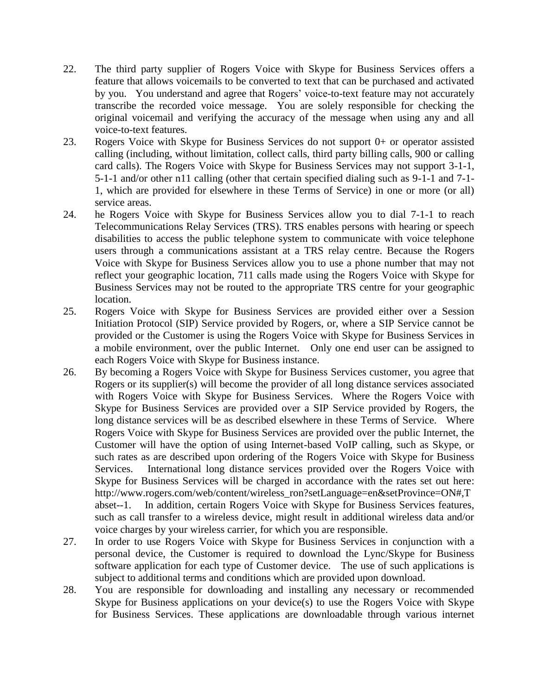- 22. The third party supplier of Rogers Voice with Skype for Business Services offers a feature that allows voicemails to be converted to text that can be purchased and activated by you. You understand and agree that Rogers' voice-to-text feature may not accurately transcribe the recorded voice message. You are solely responsible for checking the original voicemail and verifying the accuracy of the message when using any and all voice-to-text features.
- 23. Rogers Voice with Skype for Business Services do not support 0+ or operator assisted calling (including, without limitation, collect calls, third party billing calls, 900 or calling card calls). The Rogers Voice with Skype for Business Services may not support 3-1-1, 5-1-1 and/or other n11 calling (other that certain specified dialing such as 9-1-1 and 7-1- 1, which are provided for elsewhere in these Terms of Service) in one or more (or all) service areas.
- 24. he Rogers Voice with Skype for Business Services allow you to dial 7-1-1 to reach Telecommunications Relay Services (TRS). TRS enables persons with hearing or speech disabilities to access the public telephone system to communicate with voice telephone users through a communications assistant at a TRS relay centre. Because the Rogers Voice with Skype for Business Services allow you to use a phone number that may not reflect your geographic location, 711 calls made using the Rogers Voice with Skype for Business Services may not be routed to the appropriate TRS centre for your geographic location.
- 25. Rogers Voice with Skype for Business Services are provided either over a Session Initiation Protocol (SIP) Service provided by Rogers, or, where a SIP Service cannot be provided or the Customer is using the Rogers Voice with Skype for Business Services in a mobile environment, over the public Internet. Only one end user can be assigned to each Rogers Voice with Skype for Business instance.
- 26. By becoming a Rogers Voice with Skype for Business Services customer, you agree that Rogers or its supplier(s) will become the provider of all long distance services associated with Rogers Voice with Skype for Business Services. Where the Rogers Voice with Skype for Business Services are provided over a SIP Service provided by Rogers, the long distance services will be as described elsewhere in these Terms of Service. Where Rogers Voice with Skype for Business Services are provided over the public Internet, the Customer will have the option of using Internet-based VoIP calling, such as Skype, or such rates as are described upon ordering of the Rogers Voice with Skype for Business Services. International long distance services provided over the Rogers Voice with Skype for Business Services will be charged in accordance with the rates set out here: http://www.rogers.com/web/content/wireless\_ron?setLanguage=en&setProvince=ON#,T abset--1. In addition, certain Rogers Voice with Skype for Business Services features, such as call transfer to a wireless device, might result in additional wireless data and/or voice charges by your wireless carrier, for which you are responsible.
- 27. In order to use Rogers Voice with Skype for Business Services in conjunction with a personal device, the Customer is required to download the Lync/Skype for Business software application for each type of Customer device. The use of such applications is subject to additional terms and conditions which are provided upon download.
- 28. You are responsible for downloading and installing any necessary or recommended Skype for Business applications on your device(s) to use the Rogers Voice with Skype for Business Services. These applications are downloadable through various internet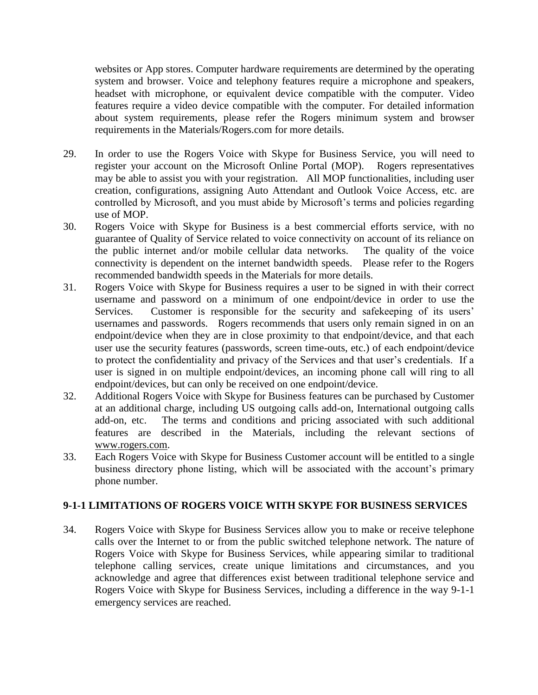websites or App stores. Computer hardware requirements are determined by the operating system and browser. Voice and telephony features require a microphone and speakers, headset with microphone, or equivalent device compatible with the computer. Video features require a video device compatible with the computer. For detailed information about system requirements, please refer the Rogers minimum system and browser requirements in the Materials/Rogers.com for more details.

- 29. In order to use the Rogers Voice with Skype for Business Service, you will need to register your account on the Microsoft Online Portal (MOP). Rogers representatives may be able to assist you with your registration. All MOP functionalities, including user creation, configurations, assigning Auto Attendant and Outlook Voice Access, etc. are controlled by Microsoft, and you must abide by Microsoft's terms and policies regarding use of MOP.
- 30. Rogers Voice with Skype for Business is a best commercial efforts service, with no guarantee of Quality of Service related to voice connectivity on account of its reliance on the public internet and/or mobile cellular data networks. The quality of the voice connectivity is dependent on the internet bandwidth speeds. Please refer to the Rogers recommended bandwidth speeds in the Materials for more details.
- 31. Rogers Voice with Skype for Business requires a user to be signed in with their correct username and password on a minimum of one endpoint/device in order to use the Services. Customer is responsible for the security and safekeeping of its users' usernames and passwords. Rogers recommends that users only remain signed in on an endpoint/device when they are in close proximity to that endpoint/device, and that each user use the security features (passwords, screen time-outs, etc.) of each endpoint/device to protect the confidentiality and privacy of the Services and that user's credentials. If a user is signed in on multiple endpoint/devices, an incoming phone call will ring to all endpoint/devices, but can only be received on one endpoint/device.
- 32. Additional Rogers Voice with Skype for Business features can be purchased by Customer at an additional charge, including US outgoing calls add-on, International outgoing calls add-on, etc. The terms and conditions and pricing associated with such additional features are described in the Materials, including the relevant sections of [www.rogers.com.](http://www.rogers.com/)
- 33. Each Rogers Voice with Skype for Business Customer account will be entitled to a single business directory phone listing, which will be associated with the account's primary phone number.

## **9-1-1 LIMITATIONS OF ROGERS VOICE WITH SKYPE FOR BUSINESS SERVICES**

34. Rogers Voice with Skype for Business Services allow you to make or receive telephone calls over the Internet to or from the public switched telephone network. The nature of Rogers Voice with Skype for Business Services, while appearing similar to traditional telephone calling services, create unique limitations and circumstances, and you acknowledge and agree that differences exist between traditional telephone service and Rogers Voice with Skype for Business Services, including a difference in the way 9-1-1 emergency services are reached.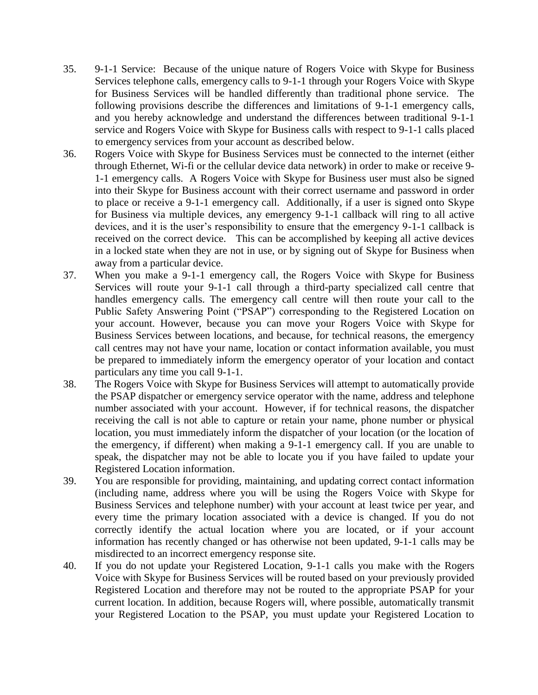- 35. 9-1-1 Service: Because of the unique nature of Rogers Voice with Skype for Business Services telephone calls, emergency calls to 9-1-1 through your Rogers Voice with Skype for Business Services will be handled differently than traditional phone service. The following provisions describe the differences and limitations of 9-1-1 emergency calls, and you hereby acknowledge and understand the differences between traditional 9-1-1 service and Rogers Voice with Skype for Business calls with respect to 9-1-1 calls placed to emergency services from your account as described below.
- 36. Rogers Voice with Skype for Business Services must be connected to the internet (either through Ethernet, Wi-fi or the cellular device data network) in order to make or receive 9- 1-1 emergency calls. A Rogers Voice with Skype for Business user must also be signed into their Skype for Business account with their correct username and password in order to place or receive a 9-1-1 emergency call. Additionally, if a user is signed onto Skype for Business via multiple devices, any emergency 9-1-1 callback will ring to all active devices, and it is the user's responsibility to ensure that the emergency 9-1-1 callback is received on the correct device. This can be accomplished by keeping all active devices in a locked state when they are not in use, or by signing out of Skype for Business when away from a particular device.
- 37. When you make a 9-1-1 emergency call, the Rogers Voice with Skype for Business Services will route your 9-1-1 call through a third-party specialized call centre that handles emergency calls. The emergency call centre will then route your call to the Public Safety Answering Point ("PSAP") corresponding to the Registered Location on your account. However, because you can move your Rogers Voice with Skype for Business Services between locations, and because, for technical reasons, the emergency call centres may not have your name, location or contact information available, you must be prepared to immediately inform the emergency operator of your location and contact particulars any time you call 9-1-1.
- 38. The Rogers Voice with Skype for Business Services will attempt to automatically provide the PSAP dispatcher or emergency service operator with the name, address and telephone number associated with your account. However, if for technical reasons, the dispatcher receiving the call is not able to capture or retain your name, phone number or physical location, you must immediately inform the dispatcher of your location (or the location of the emergency, if different) when making a 9-1-1 emergency call. If you are unable to speak, the dispatcher may not be able to locate you if you have failed to update your Registered Location information.
- 39. You are responsible for providing, maintaining, and updating correct contact information (including name, address where you will be using the Rogers Voice with Skype for Business Services and telephone number) with your account at least twice per year, and every time the primary location associated with a device is changed. If you do not correctly identify the actual location where you are located, or if your account information has recently changed or has otherwise not been updated, 9-1-1 calls may be misdirected to an incorrect emergency response site.
- 40. If you do not update your Registered Location, 9-1-1 calls you make with the Rogers Voice with Skype for Business Services will be routed based on your previously provided Registered Location and therefore may not be routed to the appropriate PSAP for your current location. In addition, because Rogers will, where possible, automatically transmit your Registered Location to the PSAP, you must update your Registered Location to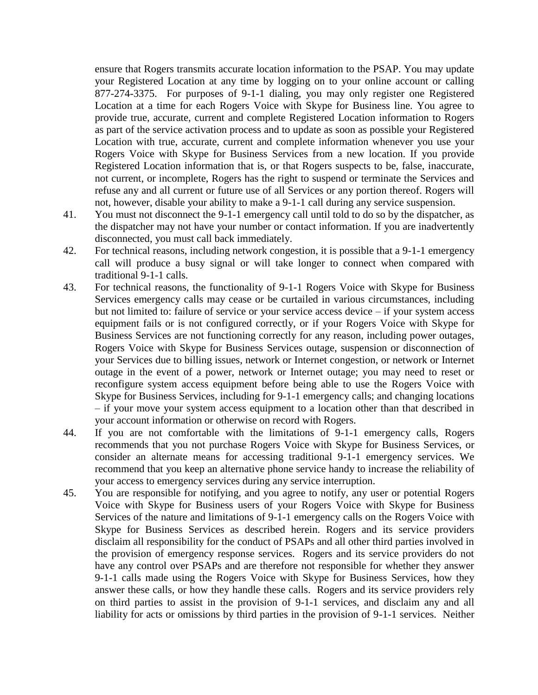ensure that Rogers transmits accurate location information to the PSAP. You may update your Registered Location at any time by logging on to your online account or calling 877-274-3375. For purposes of 9-1-1 dialing, you may only register one Registered Location at a time for each Rogers Voice with Skype for Business line. You agree to provide true, accurate, current and complete Registered Location information to Rogers as part of the service activation process and to update as soon as possible your Registered Location with true, accurate, current and complete information whenever you use your Rogers Voice with Skype for Business Services from a new location. If you provide Registered Location information that is, or that Rogers suspects to be, false, inaccurate, not current, or incomplete, Rogers has the right to suspend or terminate the Services and refuse any and all current or future use of all Services or any portion thereof. Rogers will not, however, disable your ability to make a 9-1-1 call during any service suspension.

- 41. You must not disconnect the 9-1-1 emergency call until told to do so by the dispatcher, as the dispatcher may not have your number or contact information. If you are inadvertently disconnected, you must call back immediately.
- 42. For technical reasons, including network congestion, it is possible that a 9-1-1 emergency call will produce a busy signal or will take longer to connect when compared with traditional 9-1-1 calls.
- 43. For technical reasons, the functionality of 9-1-1 Rogers Voice with Skype for Business Services emergency calls may cease or be curtailed in various circumstances, including but not limited to: failure of service or your service access device – if your system access equipment fails or is not configured correctly, or if your Rogers Voice with Skype for Business Services are not functioning correctly for any reason, including power outages, Rogers Voice with Skype for Business Services outage, suspension or disconnection of your Services due to billing issues, network or Internet congestion, or network or Internet outage in the event of a power, network or Internet outage; you may need to reset or reconfigure system access equipment before being able to use the Rogers Voice with Skype for Business Services, including for 9-1-1 emergency calls; and changing locations – if your move your system access equipment to a location other than that described in your account information or otherwise on record with Rogers.
- 44. If you are not comfortable with the limitations of 9-1-1 emergency calls, Rogers recommends that you not purchase Rogers Voice with Skype for Business Services, or consider an alternate means for accessing traditional 9-1-1 emergency services. We recommend that you keep an alternative phone service handy to increase the reliability of your access to emergency services during any service interruption.
- 45. You are responsible for notifying, and you agree to notify, any user or potential Rogers Voice with Skype for Business users of your Rogers Voice with Skype for Business Services of the nature and limitations of 9-1-1 emergency calls on the Rogers Voice with Skype for Business Services as described herein. Rogers and its service providers disclaim all responsibility for the conduct of PSAPs and all other third parties involved in the provision of emergency response services. Rogers and its service providers do not have any control over PSAPs and are therefore not responsible for whether they answer 9-1-1 calls made using the Rogers Voice with Skype for Business Services, how they answer these calls, or how they handle these calls. Rogers and its service providers rely on third parties to assist in the provision of 9-1-1 services, and disclaim any and all liability for acts or omissions by third parties in the provision of 9-1-1 services. Neither